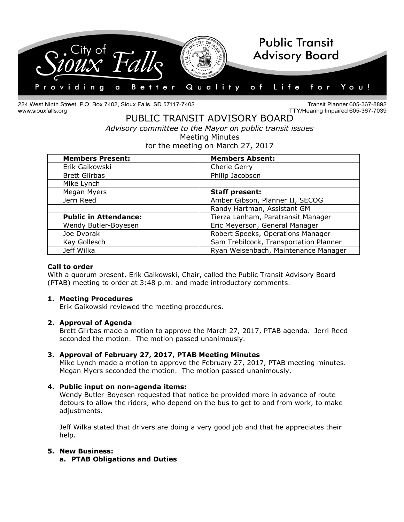

224 West Ninth Street, P.O. Box 7402, Sioux Falls, SD 57117-7402 www.siouxfalls.org

Transit Planner 605-367-8892 TTY/Hearing Impaired 605-367-7039

# PUBLIC TRANSIT ADVISORY BOARD *Advisory committee to the Mayor on public transit issues* Meeting Minutes for the meeting on March 27, 2017

| <b>Members Present:</b>      | <b>Members Absent:</b>                 |
|------------------------------|----------------------------------------|
| Erik Gaikowski               | Cherie Gerry                           |
| <b>Brett Glirbas</b>         | Philip Jacobson                        |
| Mike Lynch                   |                                        |
| Megan Myers                  | <b>Staff present:</b>                  |
| Jerri Reed                   | Amber Gibson, Planner II, SECOG        |
|                              | Randy Hartman, Assistant GM            |
| <b>Public in Attendance:</b> | Tierza Lanham, Paratransit Manager     |
| Wendy Butler-Boyesen         | Eric Meyerson, General Manager         |
| Joe Dvorak                   | Robert Speeks, Operations Manager      |
| Kay Gollesch                 | Sam Trebilcock, Transportation Planner |
| Jeff Wilka                   | Ryan Weisenbach, Maintenance Manager   |

### **Call to order**

With a quorum present, Erik Gaikowski, Chair, called the Public Transit Advisory Board (PTAB) meeting to order at 3:48 p.m. and made introductory comments.

#### **1. Meeting Procedures**

Erik Gaikowski reviewed the meeting procedures.

#### **2. Approval of Agenda**

Brett Glirbas made a motion to approve the March 27, 2017, PTAB agenda. Jerri Reed seconded the motion. The motion passed unanimously.

### **3. Approval of February 27, 2017, PTAB Meeting Minutes**

Mike Lynch made a motion to approve the February 27, 2017, PTAB meeting minutes. Megan Myers seconded the motion. The motion passed unanimously.

### **4. Public input on non-agenda items:**

Wendy Butler-Boyesen requested that notice be provided more in advance of route detours to allow the riders, who depend on the bus to get to and from work, to make adjustments.

Jeff Wilka stated that drivers are doing a very good job and that he appreciates their help.

### **5. New Business:**

**a. PTAB Obligations and Duties**